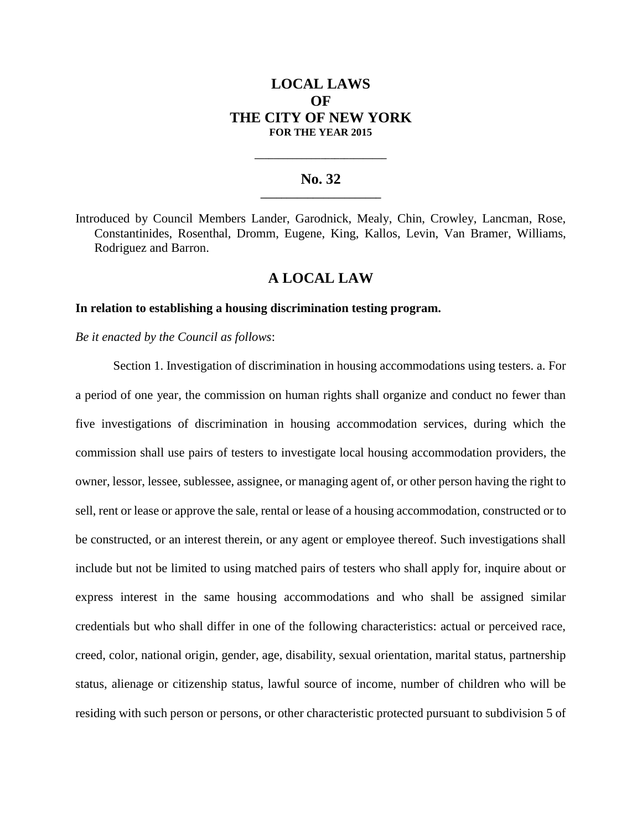# **LOCAL LAWS OF THE CITY OF NEW YORK FOR THE YEAR 2015**

### **No. 32 \_\_\_\_\_\_\_\_\_\_\_\_\_\_\_\_\_\_\_\_\_\_\_**

**\_\_\_\_\_\_\_\_\_\_\_\_\_\_\_\_\_\_\_\_\_\_\_\_\_\_\_\_**

Introduced by Council Members Lander, Garodnick, Mealy, Chin, Crowley, Lancman, Rose, Constantinides, Rosenthal, Dromm, Eugene, King, Kallos, Levin, Van Bramer, Williams, Rodriguez and Barron.

## **A LOCAL LAW**

#### **In relation to establishing a housing discrimination testing program.**

*Be it enacted by the Council as follows*:

Section 1. Investigation of discrimination in housing accommodations using testers. a. For a period of one year, the commission on human rights shall organize and conduct no fewer than five investigations of discrimination in housing accommodation services, during which the commission shall use pairs of testers to investigate local housing accommodation providers, the owner, lessor, lessee, sublessee, assignee, or managing agent of, or other person having the right to sell, rent or lease or approve the sale, rental or lease of a housing accommodation, constructed or to be constructed, or an interest therein, or any agent or employee thereof. Such investigations shall include but not be limited to using matched pairs of testers who shall apply for, inquire about or express interest in the same housing accommodations and who shall be assigned similar credentials but who shall differ in one of the following characteristics: actual or perceived race, creed, color, national origin, gender, age, disability, sexual orientation, marital status, partnership status, alienage or citizenship status, lawful source of income, number of children who will be residing with such person or persons, or other characteristic protected pursuant to subdivision 5 of